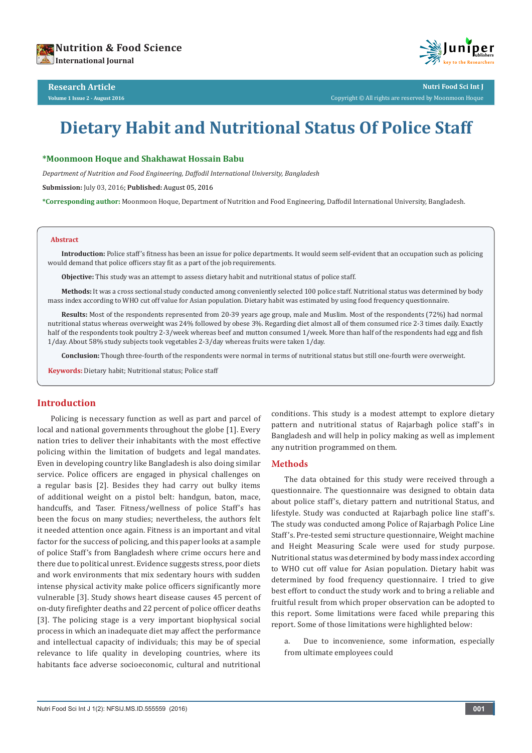# **Dietary Habit and Nutritional Status Of Police Staff**

## **\*Moonmoon Hoque and Shakhawat Hossain Babu**

*Department of Nutrition and Food Engineering, Daffodil International University, Bangladesh*

**Submission:** July 03, 2016; **Published:** August 05, 2016

**\*Corresponding author:** Moonmoon Hoque, Department of Nutrition and Food Engineering, Daffodil International University, Bangladesh.

#### **Abstract**

**Introduction:** Police staff's fitness has been an issue for police departments. It would seem self-evident that an occupation such as policing would demand that police officers stay fit as a part of the job requirements.

**Objective:** This study was an attempt to assess dietary habit and nutritional status of police staff.

**Methods:** It was a cross sectional study conducted among conveniently selected 100 police staff. Nutritional status was determined by body mass index according to WHO cut off value for Asian population. Dietary habit was estimated by using food frequency questionnaire.

**Results:** Most of the respondents represented from 20-39 years age group, male and Muslim. Most of the respondents (72%) had normal nutritional status whereas overweight was 24% followed by obese 3%. Regarding diet almost all of them consumed rice 2-3 times daily. Exactly half of the respondents took poultry 2-3/week whereas beef and mutton consumed 1/week. More than half of the respondents had egg and fish 1/day. About 58% study subjects took vegetables 2-3/day whereas fruits were taken 1/day.

**Conclusion:** Though three-fourth of the respondents were normal in terms of nutritional status but still one-fourth were overweight.

**Keywords:** Dietary habit; Nutritional status; Police staff

## **Introduction**

Policing is necessary function as well as part and parcel of local and national governments throughout the globe [1]. Every nation tries to deliver their inhabitants with the most effective policing within the limitation of budgets and legal mandates. Even in developing country like Bangladesh is also doing similar service. Police officers are engaged in physical challenges on a regular basis [2]. Besides they had carry out bulky items of additional weight on a pistol belt: handgun, baton, mace, handcuffs, and Taser. Fitness/wellness of police Staff's has been the focus on many studies; nevertheless, the authors felt it needed attention once again. Fitness is an important and vital factor for the success of policing, and this paper looks at a sample of police Staff's from Bangladesh where crime occurs here and there due to political unrest. Evidence suggests stress, poor diets and work environments that mix sedentary hours with sudden intense physical activity make police officers significantly more vulnerable [3]. Study shows heart disease causes 45 percent of on-duty firefighter deaths and 22 percent of police officer deaths [3]. The policing stage is a very important biophysical social process in which an inadequate diet may affect the performance and intellectual capacity of individuals; this may be of special relevance to life quality in developing countries, where its habitants face adverse socioeconomic, cultural and nutritional

conditions. This study is a modest attempt to explore dietary pattern and nutritional status of Rajarbagh police staff's in Bangladesh and will help in policy making as well as implement any nutrition programmed on them.

## **Methods**

The data obtained for this study were received through a questionnaire. The questionnaire was designed to obtain data about police staff's, dietary pattern and nutritional Status, and lifestyle. Study was conducted at Rajarbagh police line staff's. The study was conducted among Police of Rajarbagh Police Line Staff's. Pre-tested semi structure questionnaire, Weight machine and Height Measuring Scale were used for study purpose. Nutritional status was determined by body mass index according to WHO cut off value for Asian population. Dietary habit was determined by food frequency questionnaire. I tried to give best effort to conduct the study work and to bring a reliable and fruitful result from which proper observation can be adopted to this report. Some limitations were faced while preparing this report. Some of those limitations were highlighted below:

a. Due to inconvenience, some information, especially from ultimate employees could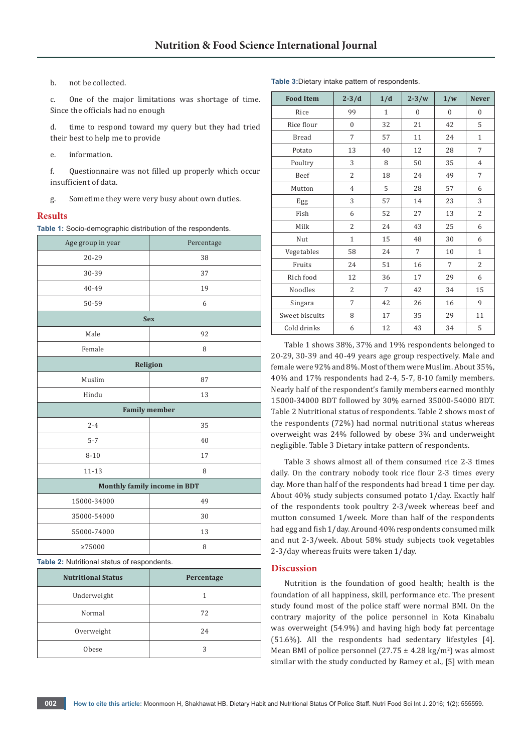b. not be collected.

c. One of the major limitations was shortage of time. Since the officials had no enough

d. time to respond toward my query but they had tried their best to help me to provide

e. information.

f. Questionnaire was not filled up properly which occur insufficient of data.

g. Sometime they were very busy about own duties.

#### **Results**

**Table 1:** Socio-demographic distribution of the respondents.

| Age group in year            | Percentage |  |  |  |
|------------------------------|------------|--|--|--|
| 20-29                        | 38         |  |  |  |
| 30-39                        | 37         |  |  |  |
| 40-49                        | 19         |  |  |  |
| 50-59                        | 6          |  |  |  |
| <b>Sex</b>                   |            |  |  |  |
| Male                         | 92         |  |  |  |
| Female                       | 8          |  |  |  |
| Religion                     |            |  |  |  |
| Muslim                       | 87         |  |  |  |
| Hindu                        | 13         |  |  |  |
| <b>Family member</b>         |            |  |  |  |
| $2 - 4$                      | 35         |  |  |  |
| $5 - 7$                      | 40         |  |  |  |
| $8 - 10$                     | 17         |  |  |  |
| $11 - 13$                    | 8          |  |  |  |
| Monthly family income in BDT |            |  |  |  |
| 15000-34000                  | 49         |  |  |  |
| 35000-54000                  | 30         |  |  |  |
| 55000-74000                  | 13         |  |  |  |
| >75000                       | 8          |  |  |  |

**Table 2:** Nutritional status of respondents.

| <b>Nutritional Status</b> | Percentage |  |  |
|---------------------------|------------|--|--|
| Underweight               |            |  |  |
| Normal                    | 72         |  |  |
| Overweight                | 24         |  |  |
| <b>Obese</b>              | 3          |  |  |

| <b>Food Item</b> | $2 - 3/d$      | 1/d          | $2 - 3/w$    | 1/w              | <b>Never</b>   |
|------------------|----------------|--------------|--------------|------------------|----------------|
| Rice             | 99             | $\mathbf{1}$ | $\mathbf{0}$ | $\boldsymbol{0}$ | $\mathbf{0}$   |
| Rice flour       | $\mathbf{0}$   | 32           | 21           | 42               | 5              |
| <b>Bread</b>     | 7              | 57           | 11           | 24               | $\mathbf{1}$   |
| Potato           | 13             | 40           | 12           | 28               | 7              |
| Poultry          | 3              | 8            | 50           | 35               | $\overline{4}$ |
| Beef             | $\overline{2}$ | 18           | 24           | 49               | 7              |
| Mutton           | $\overline{4}$ | 5            | 28           | 57               | 6              |
| Egg              | 3              | 57           | 14           | 23               | 3              |
| Fish             | 6              | 52           | 27           | 13               | $\overline{2}$ |
| Milk             | $\overline{2}$ | 24           | 43           | 25               | 6              |
| Nut              | $\mathbf{1}$   | 15           | 48           | 30               | 6              |
| Vegetables       | 58             | 24           | 7            | 10               | $\mathbf{1}$   |
| Fruits           | 24             | 51           | 16           | 7                | $\overline{2}$ |
| Rich food        | 12             | 36           | 17           | 29               | 6              |
| Noodles          | $\overline{2}$ | 7            | 42           | 34               | 15             |
| Singara          | 7              | 42           | 26           | 16               | 9              |
| Sweet biscuits   | 8              | 17           | 35           | 29               | 11             |
| Cold drinks      | 6              | 12           | 43           | 34               | 5              |

Table 1 shows 38%, 37% and 19% respondents belonged to 20-29, 30-39 and 40-49 years age group respectively. Male and female were 92% and 8%. Most of them were Muslim. About 35%, 40% and 17% respondents had 2-4, 5-7, 8-10 family members. Nearly half of the respondent's family members earned monthly 15000-34000 BDT followed by 30% earned 35000-54000 BDT. Table 2 Nutritional status of respondents. Table 2 shows most of the respondents (72%) had normal nutritional status whereas overweight was 24% followed by obese 3% and underweight negligible. Table 3 Dietary intake pattern of respondents.

Table 3 shows almost all of them consumed rice 2-3 times daily. On the contrary nobody took rice flour 2-3 times every day. More than half of the respondents had bread 1 time per day. About 40% study subjects consumed potato 1/day. Exactly half of the respondents took poultry 2-3/week whereas beef and mutton consumed 1/week. More than half of the respondents had egg and fish 1/day. Around 40% respondents consumed milk and nut 2-3/week. About 58% study subjects took vegetables 2-3/day whereas fruits were taken 1/day.

### **Discussion**

Nutrition is the foundation of good health; health is the foundation of all happiness, skill, performance etc. The present study found most of the police staff were normal BMI. On the contrary majority of the police personnel in Kota Kinabalu was overweight (54.9%) and having high body fat percentage (51.6%). All the respondents had sedentary lifestyles [4]. Mean BMI of police personnel (27.75  $\pm$  4.28 kg/m<sup>2</sup>) was almost similar with the study conducted by Ramey et al., [5] with mean